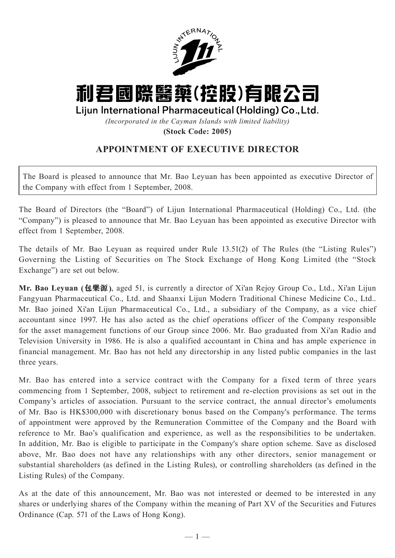

## 利君國際醫藥(控股)有限公司

## Lijun International Pharmaceutical (Holding) Co., Ltd.

*(Incorporated in the Cayman Islands with limited liability)*

**(Stock Code: 2005)**

## **APPOINTMENT OF EXECUTIVE DIRECTOR**

The Board is pleased to announce that Mr. Bao Leyuan has been appointed as executive Director of the Company with effect from 1 September, 2008.

The Board of Directors (the "Board") of Lijun International Pharmaceutical (Holding) Co., Ltd. (the "Company") is pleased to announce that Mr. Bao Leyuan has been appointed as executive Director with effect from 1 September, 2008.

The details of Mr. Bao Leyuan as required under Rule 13.51(2) of The Rules (the "Listing Rules") Governing the Listing of Securities on The Stock Exchange of Hong Kong Limited (the "Stock Exchange") are set out below.

**Mr. Bao Leyuan (包樂源)**, aged 51, is currently a director of Xi'an Rejoy Group Co., Ltd., Xi'an Lijun Fangyuan Pharmaceutical Co., Ltd. and Shaanxi Lijun Modern Traditional Chinese Medicine Co., Ltd.. Mr. Bao joined Xi'an Lijun Pharmaceutical Co., Ltd., a subsidiary of the Company, as a vice chief accountant since 1997. He has also acted as the chief operations officer of the Company responsible for the asset management functions of our Group since 2006. Mr. Bao graduated from Xi'an Radio and Television University in 1986. He is also a qualified accountant in China and has ample experience in financial management. Mr. Bao has not held any directorship in any listed public companies in the last three years.

Mr. Bao has entered into a service contract with the Company for a fixed term of three years commencing from 1 September, 2008, subject to retirement and re-election provisions as set out in the Company's articles of association. Pursuant to the service contract, the annual director's emoluments of Mr. Bao is HK\$300,000 with discretionary bonus based on the Company's performance. The terms of appointment were approved by the Remuneration Committee of the Company and the Board with reference to Mr. Bao's qualification and experience, as well as the responsibilities to be undertaken. In addition, Mr. Bao is eligible to participate in the Company's share option scheme. Save as disclosed above, Mr. Bao does not have any relationships with any other directors, senior management or substantial shareholders (as defined in the Listing Rules), or controlling shareholders (as defined in the Listing Rules) of the Company.

As at the date of this announcement, Mr. Bao was not interested or deemed to be interested in any shares or underlying shares of the Company within the meaning of Part XV of the Securities and Futures Ordinance (Cap. 571 of the Laws of Hong Kong).